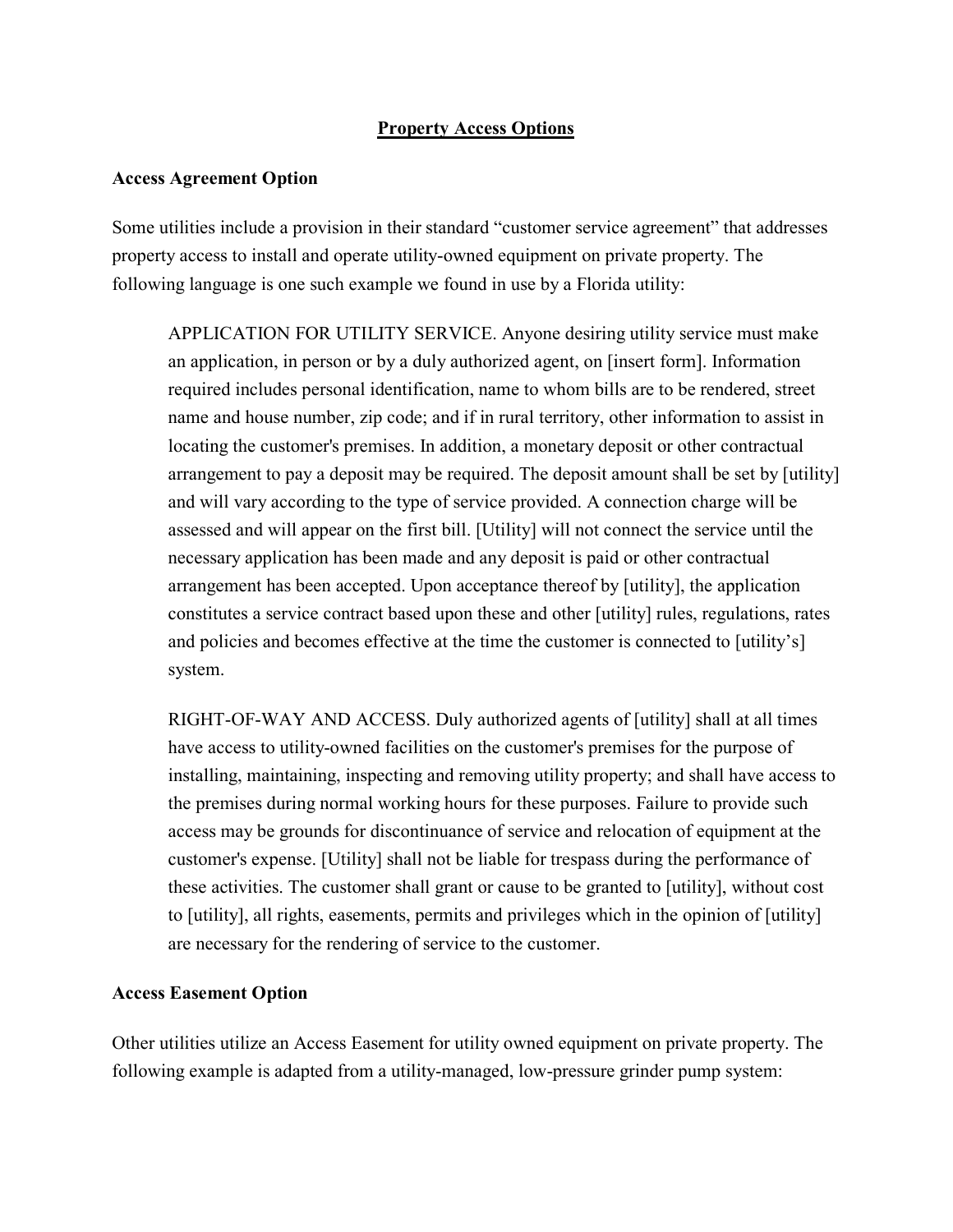## **Property Access Options**

## **Access Agreement Option**

Some utilities include a provision in their standard "customer service agreement" that addresses property access to install and operate utility-owned equipment on private property. The following language is one such example we found in use by a Florida utility:

APPLICATION FOR UTILITY SERVICE. Anyone desiring utility service must make an application, in person or by a duly authorized agent, on [insert form]. Information required includes personal identification, name to whom bills are to be rendered, street name and house number, zip code; and if in rural territory, other information to assist in locating the customer's premises. In addition, a monetary deposit or other contractual arrangement to pay a deposit may be required. The deposit amount shall be set by [utility] and will vary according to the type of service provided. A connection charge will be assessed and will appear on the first bill. [Utility] will not connect the service until the necessary application has been made and any deposit is paid or other contractual arrangement has been accepted. Upon acceptance thereof by [utility], the application constitutes a service contract based upon these and other [utility] rules, regulations, rates and policies and becomes effective at the time the customer is connected to [utility's] system.

RIGHT-OF-WAY AND ACCESS. Duly authorized agents of [utility] shall at all times have access to utility-owned facilities on the customer's premises for the purpose of installing, maintaining, inspecting and removing utility property; and shall have access to the premises during normal working hours for these purposes. Failure to provide such access may be grounds for discontinuance of service and relocation of equipment at the customer's expense. [Utility] shall not be liable for trespass during the performance of these activities. The customer shall grant or cause to be granted to [utility], without cost to [utility], all rights, easements, permits and privileges which in the opinion of [utility] are necessary for the rendering of service to the customer.

## **Access Easement Option**

Other utilities utilize an Access Easement for utility owned equipment on private property. The following example is adapted from a utility-managed, low-pressure grinder pump system: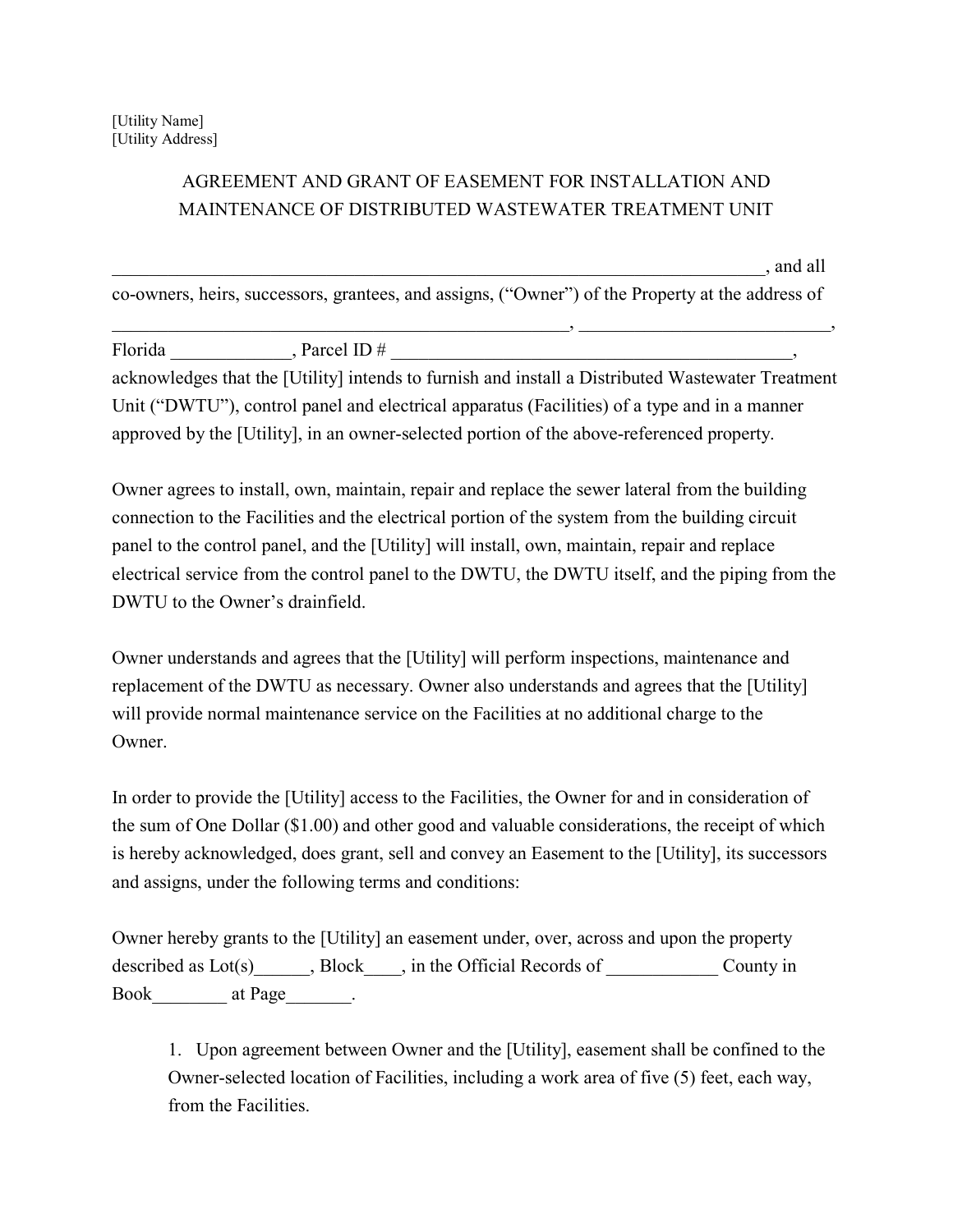## AGREEMENT AND GRANT OF EASEMENT FOR INSTALLATION AND MAINTENANCE OF DISTRIBUTED WASTEWATER TREATMENT UNIT

 $\lambda$ , and all

co-owners, heirs, successors, grantees, and assigns, ("Owner") of the Property at the address of \_\_\_\_\_\_\_\_\_\_\_\_\_\_\_\_\_\_\_\_\_\_\_\_\_\_\_\_\_\_\_\_\_\_\_\_\_\_\_\_\_\_\_\_\_\_\_\_\_, \_\_\_\_\_\_\_\_\_\_\_\_\_\_\_\_\_\_\_\_\_\_\_\_\_\_\_,

| Florida | , Parcel ID $#$ |                                                                                                   |
|---------|-----------------|---------------------------------------------------------------------------------------------------|
|         |                 | acknowledges that the [Utility] intends to furnish and install a Distributed Wastewater Treatment |
|         |                 | Unit ("DWTU"), control panel and electrical apparatus (Facilities) of a type and in a manner      |
|         |                 | approved by the [Utility], in an owner-selected portion of the above-referenced property.         |

Owner agrees to install, own, maintain, repair and replace the sewer lateral from the building connection to the Facilities and the electrical portion of the system from the building circuit panel to the control panel, and the [Utility] will install, own, maintain, repair and replace electrical service from the control panel to the DWTU, the DWTU itself, and the piping from the DWTU to the Owner's drainfield.

Owner understands and agrees that the [Utility] will perform inspections, maintenance and replacement of the DWTU as necessary. Owner also understands and agrees that the [Utility] will provide normal maintenance service on the Facilities at no additional charge to the Owner.

In order to provide the [Utility] access to the Facilities, the Owner for and in consideration of the sum of One Dollar (\$1.00) and other good and valuable considerations, the receipt of which is hereby acknowledged, does grant, sell and convey an Easement to the [Utility], its successors and assigns, under the following terms and conditions:

Owner hereby grants to the [Utility] an easement under, over, across and upon the property described as Lot(s)  $\qquad \qquad$ , Block  $\qquad$ , in the Official Records of  $\qquad \qquad$  County in Book at Page the set of  $\lambda$ 

1. Upon agreement between Owner and the [Utility], easement shall be confined to the Owner-selected location of Facilities, including a work area of five (5) feet, each way, from the Facilities.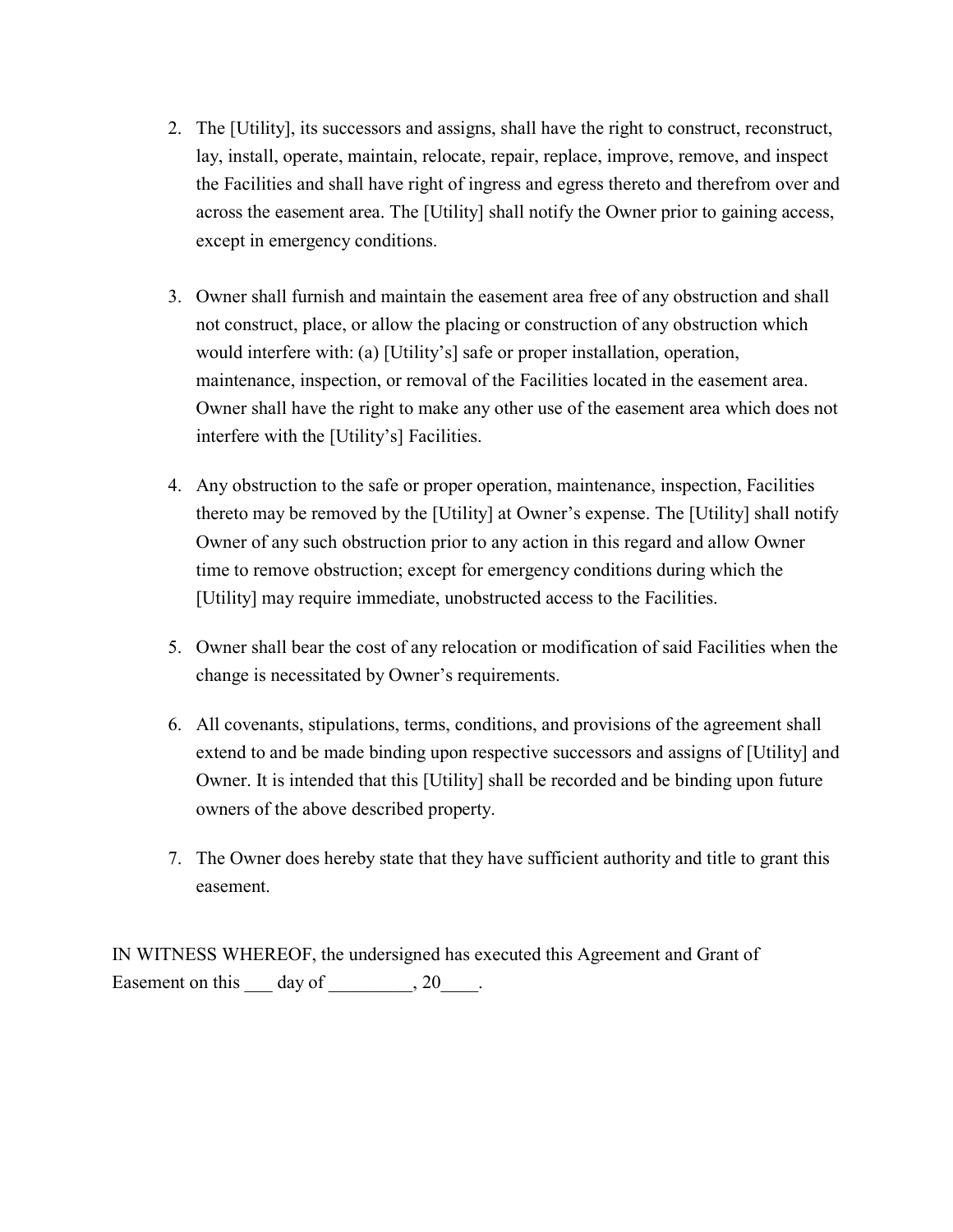- 2. The [Utility], its successors and assigns, shall have the right to construct, reconstruct, lay, install, operate, maintain, relocate, repair, replace, improve, remove, and inspect the Facilities and shall have right of ingress and egress thereto and therefrom over and across the easement area. The [Utility] shall notify the Owner prior to gaining access, except in emergency conditions.
- 3. Owner shall furnish and maintain the easement area free of any obstruction and shall not construct, place, or allow the placing or construction of any obstruction which would interfere with: (a) [Utility's] safe or proper installation, operation, maintenance, inspection, or removal of the Facilities located in the easement area. Owner shall have the right to make any other use of the easement area which does not interfere with the [Utility's] Facilities.
- 4. Any obstruction to the safe or proper operation, maintenance, inspection, Facilities thereto may be removed by the [Utility] at Owner's expense. The [Utility] shall notify Owner of any such obstruction prior to any action in this regard and allow Owner time to remove obstruction; except for emergency conditions during which the [Utility] may require immediate, unobstructed access to the Facilities.
- 5. Owner shall bear the cost of any relocation or modification of said Facilities when the change is necessitated by Owner's requirements.
- 6. All covenants, stipulations, terms, conditions, and provisions of the agreement shall extend to and be made binding upon respective successors and assigns of [Utility] and Owner. It is intended that this [Utility] shall be recorded and be binding upon future owners of the above described property.
- 7. The Owner does hereby state that they have sufficient authority and title to grant this easement.

IN WITNESS WHEREOF, the undersigned has executed this Agreement and Grant of Easement on this day of the set of the set of the set of the set of the set of the set of the set of the set of the set of the set of the set of the set of the set of the set of the set of the set of the set of the set of